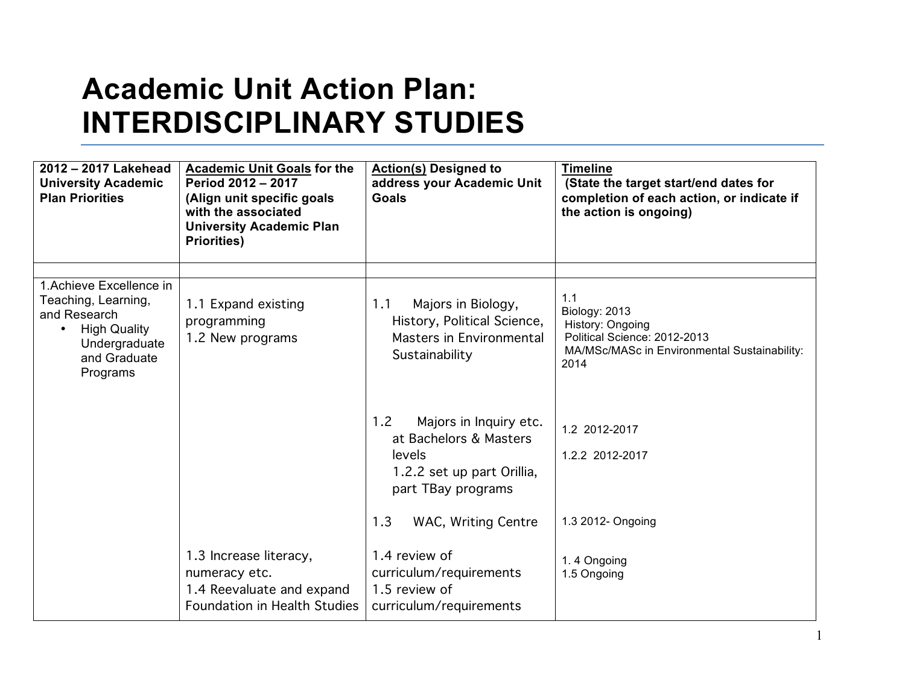## **Academic Unit Action Plan: INTERDISCIPLINARY STUDIES**

| 2012 - 2017 Lakehead<br><b>University Academic</b><br><b>Plan Priorities</b>                                                                     | <b>Academic Unit Goals for the</b><br>Period 2012 - 2017<br>(Align unit specific goals<br>with the associated<br><b>University Academic Plan</b><br><b>Priorities)</b> | <b>Action(s) Designed to</b><br>address your Academic Unit<br><b>Goals</b>                                                                                       | <b>Timeline</b><br>(State the target start/end dates for<br>completion of each action, or indicate if<br>the action is ongoing)  |
|--------------------------------------------------------------------------------------------------------------------------------------------------|------------------------------------------------------------------------------------------------------------------------------------------------------------------------|------------------------------------------------------------------------------------------------------------------------------------------------------------------|----------------------------------------------------------------------------------------------------------------------------------|
| 1. Achieve Excellence in<br>Teaching, Learning,<br>and Research<br><b>High Quality</b><br>$\bullet$<br>Undergraduate<br>and Graduate<br>Programs | 1.1 Expand existing<br>programming<br>1.2 New programs                                                                                                                 | Majors in Biology,<br>1.1<br>History, Political Science,<br>Masters in Environmental<br>Sustainability                                                           | 1.1<br>Biology: 2013<br>History: Ongoing<br>Political Science: 2012-2013<br>MA/MSc/MASc in Environmental Sustainability:<br>2014 |
|                                                                                                                                                  |                                                                                                                                                                        | 1.2 <sub>2</sub><br>Majors in Inquiry etc.<br>at Bachelors & Masters<br>levels<br>1.2.2 set up part Orillia,<br>part TBay programs<br>1.3<br>WAC, Writing Centre | 1.2 2012-2017<br>1.2.2 2012-2017<br>1.3 2012- Ongoing                                                                            |
|                                                                                                                                                  | 1.3 Increase literacy,<br>numeracy etc.<br>1.4 Reevaluate and expand<br><b>Foundation in Health Studies</b>                                                            | 1.4 review of<br>curriculum/requirements<br>1.5 review of<br>curriculum/requirements                                                                             | 1.4 Ongoing<br>1.5 Ongoing                                                                                                       |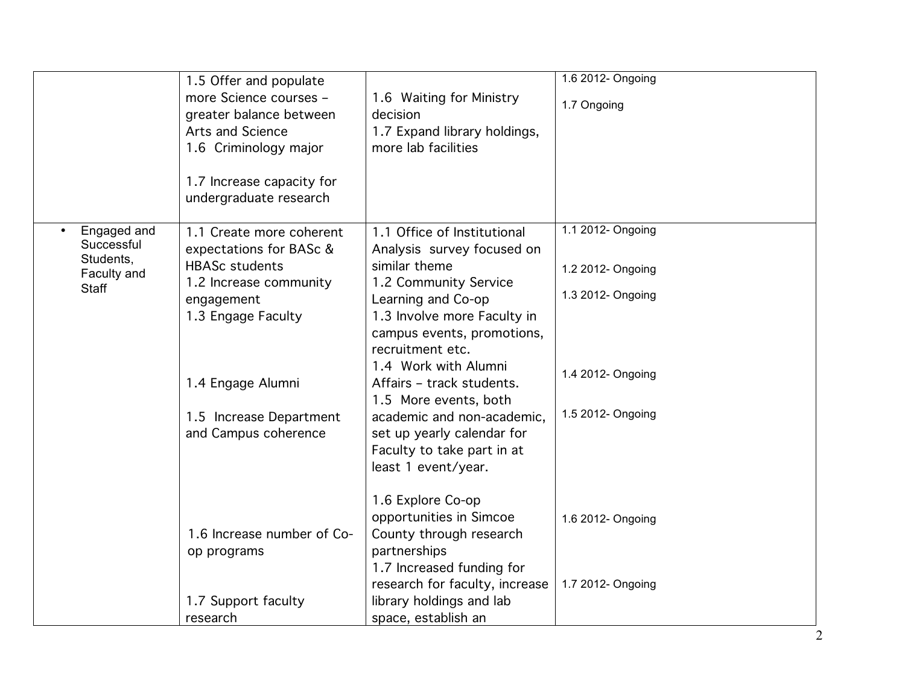|                                                                | 1.5 Offer and populate<br>more Science courses -<br>greater balance between<br>Arts and Science<br>1.6 Criminology major<br>1.7 Increase capacity for<br>undergraduate research                                    | 1.6 Waiting for Ministry<br>decision<br>1.7 Expand library holdings,<br>more lab facilities                                                                                                                                                                                                                                                                                                               | 1.6 2012- Ongoing<br>1.7 Ongoing                                                                      |
|----------------------------------------------------------------|--------------------------------------------------------------------------------------------------------------------------------------------------------------------------------------------------------------------|-----------------------------------------------------------------------------------------------------------------------------------------------------------------------------------------------------------------------------------------------------------------------------------------------------------------------------------------------------------------------------------------------------------|-------------------------------------------------------------------------------------------------------|
| Engaged and<br>Successful<br>Students,<br>Faculty and<br>Staff | 1.1 Create more coherent<br>expectations for BASc &<br><b>HBASc students</b><br>1.2 Increase community<br>engagement<br>1.3 Engage Faculty<br>1.4 Engage Alumni<br>1.5 Increase Department<br>and Campus coherence | 1.1 Office of Institutional<br>Analysis survey focused on<br>similar theme<br>1.2 Community Service<br>Learning and Co-op<br>1.3 Involve more Faculty in<br>campus events, promotions,<br>recruitment etc.<br>1.4 Work with Alumni<br>Affairs - track students.<br>1.5 More events, both<br>academic and non-academic,<br>set up yearly calendar for<br>Faculty to take part in at<br>least 1 event/year. | 1.1 2012- Ongoing<br>1.2 2012- Ongoing<br>1.3 2012- Ongoing<br>1.4 2012- Ongoing<br>1.5 2012- Ongoing |
|                                                                | 1.6 Increase number of Co-<br>op programs<br>1.7 Support faculty<br>research                                                                                                                                       | 1.6 Explore Co-op<br>opportunities in Simcoe<br>County through research<br>partnerships<br>1.7 Increased funding for<br>research for faculty, increase<br>library holdings and lab<br>space, establish an                                                                                                                                                                                                 | 1.6 2012- Ongoing<br>1.7 2012- Ongoing                                                                |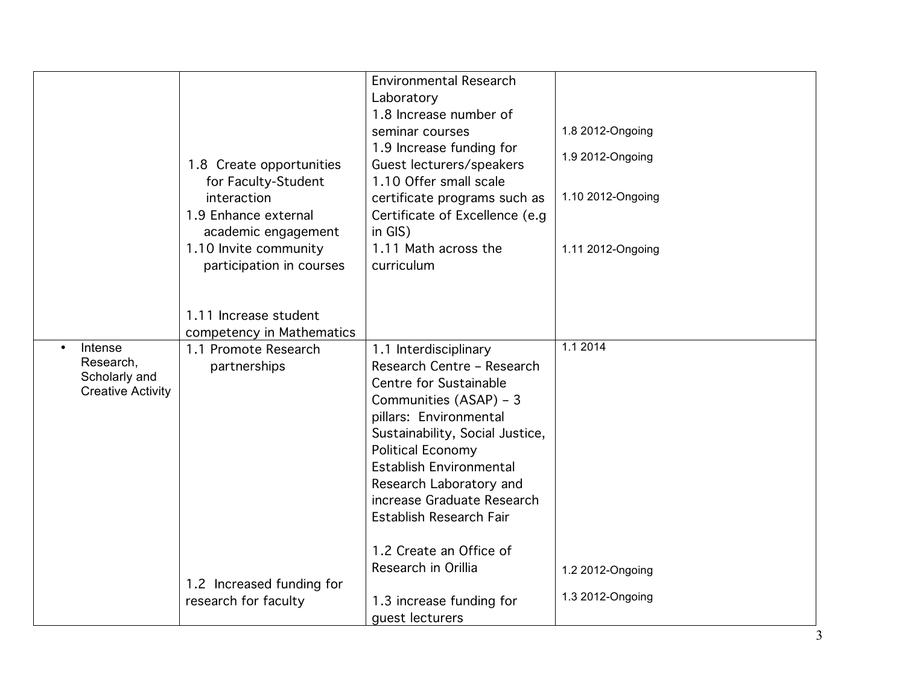|  |                                                                   |                                                                                                   | <b>Environmental Research</b><br>Laboratory<br>1.8 Increase number of                                                                                                                                                                                                                                           |                                      |
|--|-------------------------------------------------------------------|---------------------------------------------------------------------------------------------------|-----------------------------------------------------------------------------------------------------------------------------------------------------------------------------------------------------------------------------------------------------------------------------------------------------------------|--------------------------------------|
|  | 1.8 Create opportunities<br>for Faculty-Student                   | seminar courses<br>1.9 Increase funding for<br>Guest lecturers/speakers<br>1.10 Offer small scale | 1.8 2012-Ongoing                                                                                                                                                                                                                                                                                                |                                      |
|  |                                                                   |                                                                                                   | 1.9 2012-Ongoing                                                                                                                                                                                                                                                                                                |                                      |
|  |                                                                   | interaction                                                                                       | certificate programs such as                                                                                                                                                                                                                                                                                    | 1.10 2012-Ongoing                    |
|  |                                                                   | 1.9 Enhance external                                                                              | Certificate of Excellence (e.g.                                                                                                                                                                                                                                                                                 |                                      |
|  |                                                                   | academic engagement                                                                               | in GIS)                                                                                                                                                                                                                                                                                                         |                                      |
|  |                                                                   | 1.10 Invite community                                                                             | 1.11 Math across the                                                                                                                                                                                                                                                                                            | 1.11 2012-Ongoing                    |
|  |                                                                   | participation in courses                                                                          | curriculum                                                                                                                                                                                                                                                                                                      |                                      |
|  |                                                                   |                                                                                                   |                                                                                                                                                                                                                                                                                                                 |                                      |
|  |                                                                   | 1.11 Increase student                                                                             |                                                                                                                                                                                                                                                                                                                 |                                      |
|  |                                                                   | competency in Mathematics                                                                         |                                                                                                                                                                                                                                                                                                                 |                                      |
|  | Intense<br>Research,<br>Scholarly and<br><b>Creative Activity</b> | 1.1 Promote Research<br>partnerships                                                              | 1.1 Interdisciplinary<br>Research Centre - Research<br>Centre for Sustainable<br>Communities (ASAP) - 3<br>pillars: Environmental<br>Sustainability, Social Justice,<br><b>Political Economy</b><br>Establish Environmental<br>Research Laboratory and<br>increase Graduate Research<br>Establish Research Fair | 1.12014                              |
|  |                                                                   | 1.2 Increased funding for<br>research for faculty                                                 | 1.2 Create an Office of<br>Research in Orillia<br>1.3 increase funding for<br>quest lecturers                                                                                                                                                                                                                   | 1.2 2012-Ongoing<br>1.3 2012-Ongoing |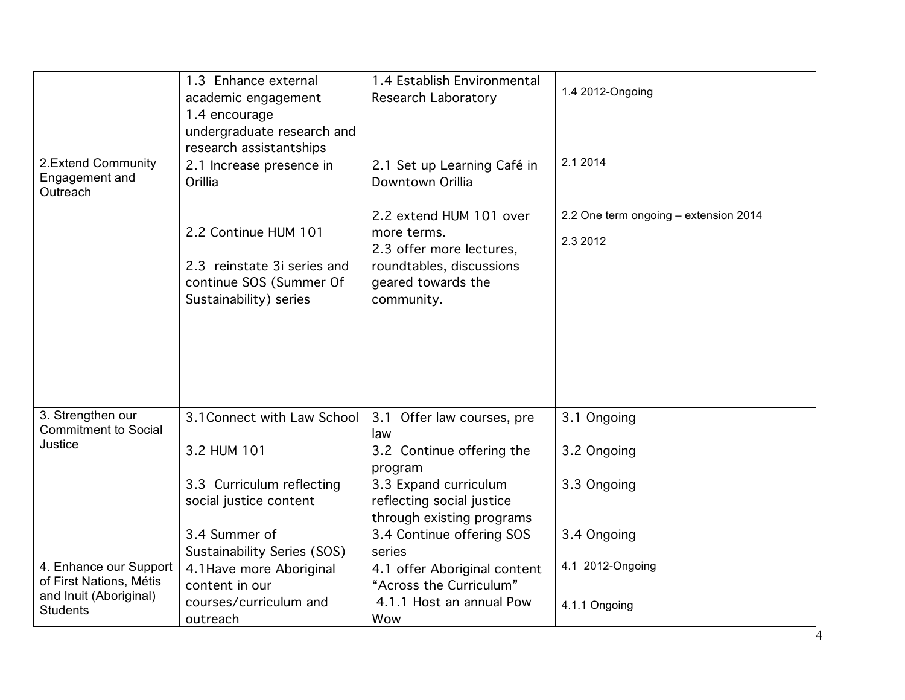|                                                                             | 1.3 Enhance external<br>academic engagement<br>1.4 encourage<br>undergraduate research and<br>research assistantships | 1.4 Establish Environmental<br><b>Research Laboratory</b>                                                                          | 1.4 2012-Ongoing                                  |  |  |
|-----------------------------------------------------------------------------|-----------------------------------------------------------------------------------------------------------------------|------------------------------------------------------------------------------------------------------------------------------------|---------------------------------------------------|--|--|
| 2.Extend Community<br>Engagement and<br>Outreach                            | 2.1 Increase presence in<br>Orillia                                                                                   | 2.1 Set up Learning Café in<br>Downtown Orillia                                                                                    | 2.1 2014                                          |  |  |
|                                                                             | 2.2 Continue HUM 101<br>2.3 reinstate 3i series and<br>continue SOS (Summer Of<br>Sustainability) series              | 2.2 extend HUM 101 over<br>more terms.<br>2.3 offer more lectures,<br>roundtables, discussions<br>geared towards the<br>community. | 2.2 One term ongoing - extension 2014<br>2.3 2012 |  |  |
| 3. Strengthen our<br><b>Commitment to Social</b><br>Justice                 | 3.1 Connect with Law School                                                                                           | 3.1 Offer law courses, pre<br>law                                                                                                  | 3.1 Ongoing                                       |  |  |
|                                                                             | 3.2 HUM 101                                                                                                           | 3.2 Continue offering the<br>program<br>3.3 Expand curriculum                                                                      | 3.2 Ongoing                                       |  |  |
|                                                                             | 3.3 Curriculum reflecting<br>social justice content                                                                   | reflecting social justice<br>through existing programs                                                                             | 3.3 Ongoing                                       |  |  |
|                                                                             | 3.4 Summer of<br><b>Sustainability Series (SOS)</b>                                                                   | 3.4 Continue offering SOS<br>series                                                                                                | 3.4 Ongoing                                       |  |  |
| 4. Enhance our Support<br>of First Nations, Métis<br>and Inuit (Aboriginal) | 4.1 Have more Aboriginal<br>content in our                                                                            | 4.1 offer Aboriginal content<br>"Across the Curriculum"                                                                            | 4.1 2012-Ongoing                                  |  |  |
| <b>Students</b>                                                             | courses/curriculum and<br>outreach                                                                                    | 4.1.1 Host an annual Pow<br>Wow                                                                                                    | 4.1.1 Ongoing                                     |  |  |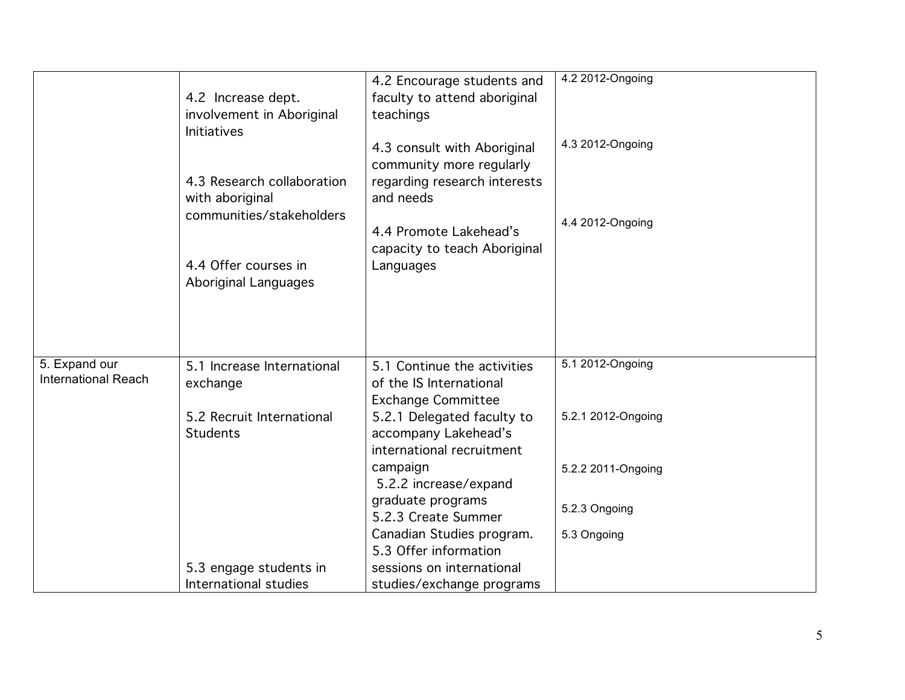|                            | 4.2 Increase dept.<br>involvement in Aboriginal<br><b>Initiatives</b><br>4.3 Research collaboration<br>with aboriginal<br>communities/stakeholders<br>4.4 Offer courses in<br>Aboriginal Languages | 4.2 Encourage students and<br>faculty to attend aboriginal<br>teachings<br>4.3 consult with Aboriginal<br>community more regularly<br>regarding research interests<br>and needs<br>4.4 Promote Lakehead's<br>capacity to teach Aboriginal<br>Languages | 4.2 2012-Ongoing<br>4.3 2012-Ongoing<br>4.4 2012-Ongoing |
|----------------------------|----------------------------------------------------------------------------------------------------------------------------------------------------------------------------------------------------|--------------------------------------------------------------------------------------------------------------------------------------------------------------------------------------------------------------------------------------------------------|----------------------------------------------------------|
| 5. Expand our              | 5.1 Increase International                                                                                                                                                                         | 5.1 Continue the activities                                                                                                                                                                                                                            | 5.1 2012-Ongoing                                         |
| <b>International Reach</b> | exchange                                                                                                                                                                                           | of the IS International<br><b>Exchange Committee</b>                                                                                                                                                                                                   |                                                          |
|                            | 5.2 Recruit International<br><b>Students</b>                                                                                                                                                       | 5.2.1 Delegated faculty to<br>accompany Lakehead's<br>international recruitment                                                                                                                                                                        | 5.2.1 2012-Ongoing                                       |
|                            |                                                                                                                                                                                                    | campaign<br>5.2.2 increase/expand                                                                                                                                                                                                                      | 5.2.2 2011-Ongoing                                       |
|                            |                                                                                                                                                                                                    | graduate programs<br>5.2.3 Create Summer                                                                                                                                                                                                               | 5.2.3 Ongoing                                            |
|                            |                                                                                                                                                                                                    | Canadian Studies program.<br>5.3 Offer information                                                                                                                                                                                                     | 5.3 Ongoing                                              |
|                            | 5.3 engage students in                                                                                                                                                                             | sessions on international                                                                                                                                                                                                                              |                                                          |
|                            | International studies                                                                                                                                                                              | studies/exchange programs                                                                                                                                                                                                                              |                                                          |